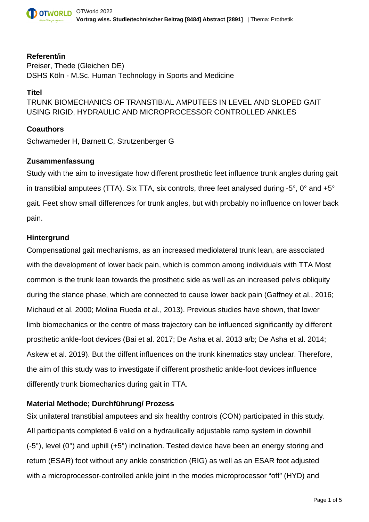

#### **Referent/in**

Preiser, Thede (Gleichen DE) DSHS Köln - M.Sc. Human Technology in Sports and Medicine

### **Titel**

TRUNK BIOMECHANICS OF TRANSTIBIAL AMPUTEES IN LEVEL AND SLOPED GAIT USING RIGID, HYDRAULIC AND MICROPROCESSOR CONTROLLED ANKLES

### **Coauthors**

Schwameder H, Barnett C, Strutzenberger G

### **Zusammenfassung**

Study with the aim to investigate how different prosthetic feet influence trunk angles during gait in transtibial amputees (TTA). Six TTA, six controls, three feet analysed during -5°, 0° and +5° gait. Feet show small differences for trunk angles, but with probably no influence on lower back pain.

### **Hintergrund**

Compensational gait mechanisms, as an increased mediolateral trunk lean, are associated with the development of lower back pain, which is common among individuals with TTA Most common is the trunk lean towards the prosthetic side as well as an increased pelvis obliquity during the stance phase, which are connected to cause lower back pain (Gaffney et al., 2016; Michaud et al. 2000; Molina Rueda et al., 2013). Previous studies have shown, that lower limb biomechanics or the centre of mass trajectory can be influenced significantly by different prosthetic ankle-foot devices (Bai et al. 2017; De Asha et al. 2013 a/b; De Asha et al. 2014; Askew et al. 2019). But the diffent influences on the trunk kinematics stay unclear. Therefore, the aim of this study was to investigate if different prosthetic ankle-foot devices influence differently trunk biomechanics during gait in TTA.

## **Material Methode; Durchführung/ Prozess**

Six unilateral transtibial amputees and six healthy controls (CON) participated in this study. All participants completed 6 valid on a hydraulically adjustable ramp system in downhill (-5°), level (0°) and uphill (+5°) inclination. Tested device have been an energy storing and return (ESAR) foot without any ankle constriction (RIG) as well as an ESAR foot adjusted with a microprocessor-controlled ankle joint in the modes microprocessor "off" (HYD) and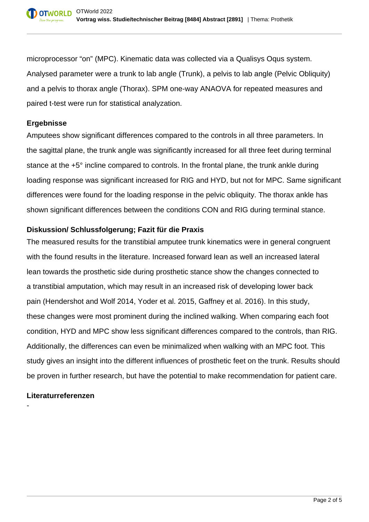microprocessor "on" (MPC). Kinematic data was collected via a Qualisys Oqus system. Analysed parameter were a trunk to lab angle (Trunk), a pelvis to lab angle (Pelvic Obliquity) and a pelvis to thorax angle (Thorax). SPM one-way ANAOVA for repeated measures and paired t-test were run for statistical analyzation.

## **Ergebnisse**

Amputees show significant differences compared to the controls in all three parameters. In the sagittal plane, the trunk angle was significantly increased for all three feet during terminal stance at the +5° incline compared to controls. In the frontal plane, the trunk ankle during loading response was significant increased for RIG and HYD, but not for MPC. Same significant differences were found for the loading response in the pelvic obliquity. The thorax ankle has shown significant differences between the conditions CON and RIG during terminal stance.

## **Diskussion/ Schlussfolgerung; Fazit für die Praxis**

The measured results for the transtibial amputee trunk kinematics were in general congruent with the found results in the literature. Increased forward lean as well an increased lateral lean towards the prosthetic side during prosthetic stance show the changes connected to a transtibial amputation, which may result in an increased risk of developing lower back pain (Hendershot and Wolf 2014, Yoder et al. 2015, Gaffney et al. 2016). In this study, these changes were most prominent during the inclined walking. When comparing each foot condition, HYD and MPC show less significant differences compared to the controls, than RIG. Additionally, the differences can even be minimalized when walking with an MPC foot. This study gives an insight into the different influences of prosthetic feet on the trunk. Results should be proven in further research, but have the potential to make recommendation for patient care.

## **Literaturreferenzen**

-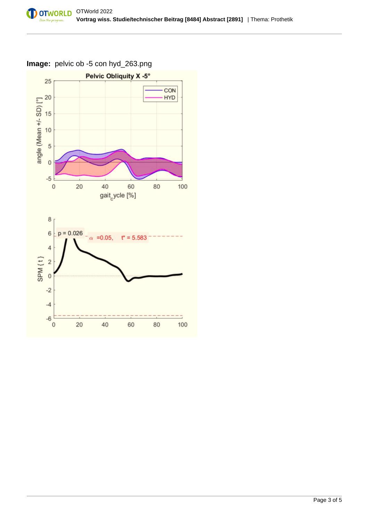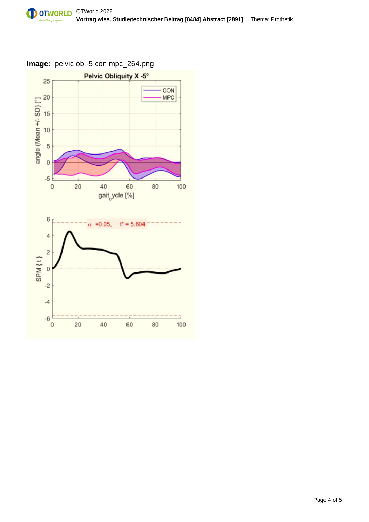

# **Image:** pelvic ob -5 con mpc\_264.png